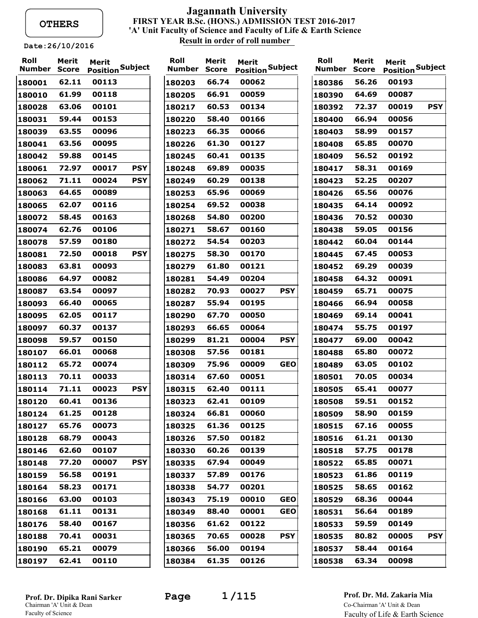# **OTHERS**

## **FIRST YEAR B.Sc. (HONS.) ADMISSION TEST 2016-2017 Result in order of roll number 'A' Unit Faculty of Science and Faculty of Life & Earth Science Jagannath University**

#### **Date:26/10/2016**

| Roll<br>Number | Merit<br>Score | Merit<br>Position <sup>Subject</sup> |            |
|----------------|----------------|--------------------------------------|------------|
| 180001         | 62.11          | 00113                                |            |
| 180010         | 61.99          | 00118                                |            |
| 180028         | 63.06          | 00101                                |            |
| 180031         | 59.44          | 00153                                |            |
| 180039         | 63.55          | 00096                                |            |
| 180041         | 63.56          | 00095                                |            |
| 180042         | 59.88          | 00145                                |            |
| 180061         | 72.97          | 00017                                | PSY        |
| 180062         | 71.11          | 00024                                | PSY        |
| 180063         | 64.65          | 00089                                |            |
| 180065         | 62.07          | 00116                                |            |
| 180072         | 58.45          | 00163                                |            |
| 180074         | 62.76          | 00106                                |            |
| 180078         | 57.59          | 00180                                |            |
| 180081         | 72.50          | 00018                                | <b>PSY</b> |
| 180083         | 63.81          | 00093                                |            |
| 180086         | 64.97          | 00082                                |            |
| 180087         | 63.54          | 00097                                |            |
| 180093         | 66.40          | 00065                                |            |
| 180095         | 62.05          | 00117                                |            |
| 180097         | 60.37          | 00137                                |            |
| 180098         | 59.57          | 00150                                |            |
| <b>180107</b>  | 66.01          | 00068                                |            |
| 180112         | 65.72          | 00074                                |            |
| 180113         | 70.11          | 00033                                |            |
| 180114         | 71.11          | 00023                                | <b>PSY</b> |
| 180120         | 60.41          | 00136                                |            |
| 180124         | 61.25          | 00128                                |            |
| 180127         | 65.76          | 00073                                |            |
| 180128         | 68.79          | 00043                                |            |
| 180146         | 62.60          | 00107                                |            |
| 180148         | 77.20          | 00007                                | <b>PSY</b> |
| 180159         | 56.58          | 00191                                |            |
| 180164         | 58.23          | 00171                                |            |
| 180166         | 63.00          | 00103                                |            |
| 180168         | 61.11          | 00131                                |            |
| 180176         | 58.40          | 00167                                |            |
| 180188         | 70.41          | 00031                                |            |
| 180190         | 65.21          | 00079                                |            |
| 180197         | 62.41          | 00110                                |            |

| Roll<br>Number | Merit<br>Score | Merit<br><u>Position Subject</u> |            |
|----------------|----------------|----------------------------------|------------|
| 180203         | 66.74          | 00062                            |            |
| 180205         | 66.91          | 00059                            |            |
| 180217         | 60.53          | 00134                            |            |
| 180220         | 58.40          | 00166                            |            |
| 180223         | 66.35          | 00066                            |            |
| 180226         | 61.30          | 00127                            |            |
| 180245         | 60.41          | 00135                            |            |
| 180248         | 69.89          | 00035                            |            |
| 180249         | 60.29          | 00138                            |            |
| 180253         | 65.96          | 00069                            |            |
| 180254         | 69.52          | 00038                            |            |
| 180268         | 54.80          | 00200                            |            |
| 180271         | 58.67          | 00160                            |            |
| 180272         | 54.54          | 00203                            |            |
| 180275         | 58.30          | 00170                            |            |
| 180279         | 61.80          | 00121                            |            |
| 180281         | 54.49          | 00204                            |            |
| 180282         | 70.93          | 00027                            | <b>PSY</b> |
| 180287         | 55.94          | 00195                            |            |
| 180290         | 67.70          | 00050                            |            |
| 180293         | 66.65          | 00064                            |            |
| 180299         | 81.21          | 00004                            | PSY        |
| 180308         | 57.56          | 00181                            |            |
| 180309         | 75.96          | 00009                            | GEO        |
| 180314         | 67.60          | 00051                            |            |
| 180315         | 62.40          | 00111                            |            |
| 180323         | 62.41          | 00109                            |            |
| 180324         | 66.81          | 00060                            |            |
| 180325         | 61.36          | 00125                            |            |
| 180326         | 57.50          | 00182                            |            |
| 180330         | 60.26          | 00139                            |            |
| 180335         | 67.94          | 00049                            |            |
| 180337         | 57.89          | 00176                            |            |
| 180338         | 54.77          | 00201                            |            |
| 180343         | 75.19          | 00010                            | GEO        |
| 180349         | 88.40          | 00001                            | GEO        |
| 180356         | 61.62          | 00122                            |            |
| 180365         | 70.65          | 00028                            | <b>PSY</b> |
| 180366         | 56.00          | 00194                            |            |
| 180384         | 61.35          | 00126                            |            |

| Position <sup>Subject</sup><br>56.26<br>00193<br>180386<br>64.69<br>00087<br>180390<br>72.37<br>PSY<br>00019<br>180392<br>66.94<br>00056<br>180400<br>58.99<br>00157<br>180403<br>180408<br>65.85<br>00070<br>56.52<br>00192<br>180409<br>58.31<br>00169<br>180417<br>52.25<br>00207<br>180423<br>65.56<br>00076<br>180426 |  |
|----------------------------------------------------------------------------------------------------------------------------------------------------------------------------------------------------------------------------------------------------------------------------------------------------------------------------|--|
|                                                                                                                                                                                                                                                                                                                            |  |
|                                                                                                                                                                                                                                                                                                                            |  |
|                                                                                                                                                                                                                                                                                                                            |  |
|                                                                                                                                                                                                                                                                                                                            |  |
|                                                                                                                                                                                                                                                                                                                            |  |
|                                                                                                                                                                                                                                                                                                                            |  |
|                                                                                                                                                                                                                                                                                                                            |  |
|                                                                                                                                                                                                                                                                                                                            |  |
|                                                                                                                                                                                                                                                                                                                            |  |
|                                                                                                                                                                                                                                                                                                                            |  |
| 64.14<br>00092<br>180435                                                                                                                                                                                                                                                                                                   |  |
| 70.52<br>00030<br>180436                                                                                                                                                                                                                                                                                                   |  |
| 59.05<br>00156<br>180438                                                                                                                                                                                                                                                                                                   |  |
| 180442<br>60.04<br>00144                                                                                                                                                                                                                                                                                                   |  |
| 67.45<br>00053<br>180445                                                                                                                                                                                                                                                                                                   |  |
| 69.29<br>00039<br>180452                                                                                                                                                                                                                                                                                                   |  |
| 64.32<br>00091<br>180458                                                                                                                                                                                                                                                                                                   |  |
| 65.71<br>00075<br>180459                                                                                                                                                                                                                                                                                                   |  |
| 66.94<br>00058<br>180466                                                                                                                                                                                                                                                                                                   |  |
| 69.14<br>00041<br>180469                                                                                                                                                                                                                                                                                                   |  |
| 55.75<br>00197<br>180474                                                                                                                                                                                                                                                                                                   |  |
| 69.00<br>00042<br>180477                                                                                                                                                                                                                                                                                                   |  |
| 65.80<br>00072<br>180488                                                                                                                                                                                                                                                                                                   |  |
| 63.05<br>00102<br>180489                                                                                                                                                                                                                                                                                                   |  |
| 70.05<br>00034<br>180501                                                                                                                                                                                                                                                                                                   |  |
| 65.41<br>00077<br>180505                                                                                                                                                                                                                                                                                                   |  |
| 59.51<br>00152<br>180508                                                                                                                                                                                                                                                                                                   |  |
| 00159<br>58.90<br>180509                                                                                                                                                                                                                                                                                                   |  |
| 67.16<br>00055<br>180515                                                                                                                                                                                                                                                                                                   |  |
| 61.21<br>00130<br>180516                                                                                                                                                                                                                                                                                                   |  |
| 57.75<br>00178<br>180518                                                                                                                                                                                                                                                                                                   |  |
| 65.85<br>00071<br>180522                                                                                                                                                                                                                                                                                                   |  |
| 61.86<br>00119<br>180523                                                                                                                                                                                                                                                                                                   |  |
| 58.65<br>00162<br>180525                                                                                                                                                                                                                                                                                                   |  |
| 68.36<br>00044<br>180529                                                                                                                                                                                                                                                                                                   |  |
| 56.64<br>00189<br>180531                                                                                                                                                                                                                                                                                                   |  |
| 59.59<br>00149<br>180533                                                                                                                                                                                                                                                                                                   |  |
| PSY<br>80.82<br>00005<br>180535                                                                                                                                                                                                                                                                                            |  |
| 58.44<br>00164<br>180537                                                                                                                                                                                                                                                                                                   |  |
| 63.34<br>00098<br>180538                                                                                                                                                                                                                                                                                                   |  |

# Chairman 'A' Unit & Dean Faculty of Science

#### Co-Chairman 'A' Unit & Dean **Prof. Dr. Dipika Rani Sarker Page /115 Prof. Dr. Md. Zakaria Mia** Faculty of Life & Earth Science